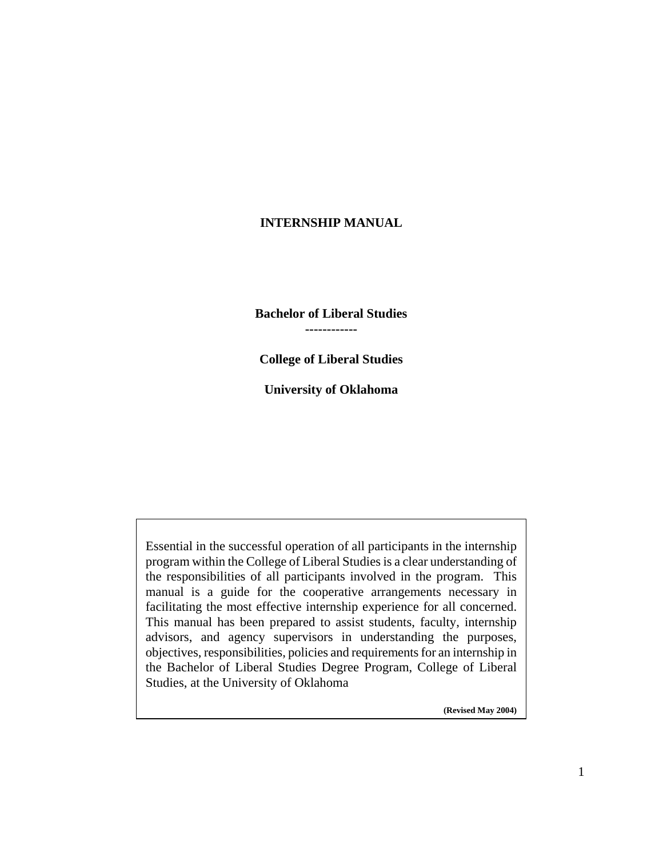## **INTERNSHIP MANUAL**

**Bachelor of Liberal Studies ------------** 

**College of Liberal Studies** 

**University of Oklahoma** 

Essential in the successful operation of all participants in the internship program within the College of Liberal Studies is a clear understanding of the responsibilities of all participants involved in the program. This manual is a guide for the cooperative arrangements necessary in facilitating the most effective internship experience for all concerned. This manual has been prepared to assist students, faculty, internship advisors, and agency supervisors in understanding the purposes, objectives, responsibilities, policies and requirements for an internship in the Bachelor of Liberal Studies Degree Program, College of Liberal Studies, at the University of Oklahoma

**(Revised May 2004)**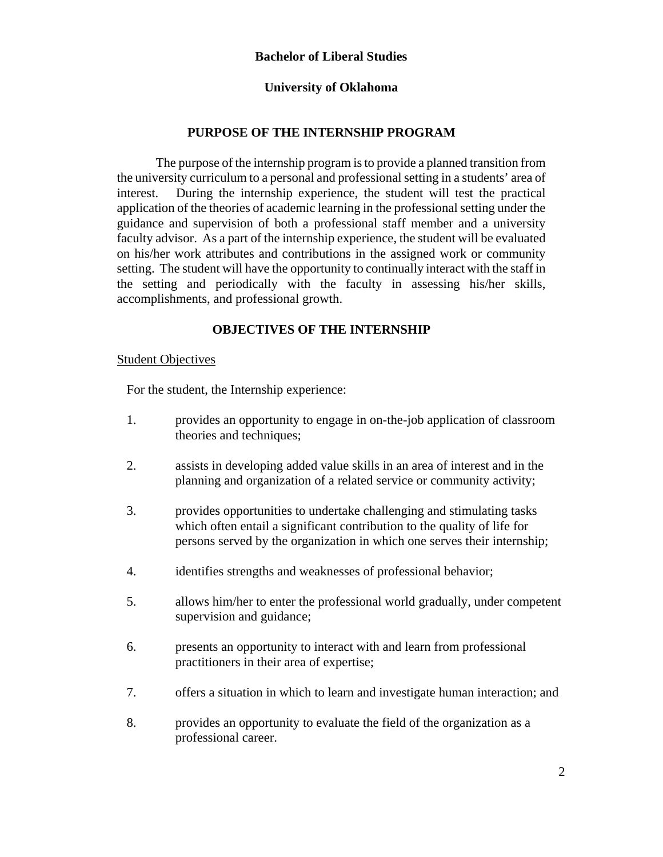### **Bachelor of Liberal Studies**

### **University of Oklahoma**

## **PURPOSE OF THE INTERNSHIP PROGRAM**

The purpose of the internship program is to provide a planned transition from the university curriculum to a personal and professional setting in a students' area of interest. During the internship experience, the student will test the practical application of the theories of academic learning in the professional setting under the guidance and supervision of both a professional staff member and a university faculty advisor. As a part of the internship experience, the student will be evaluated on his/her work attributes and contributions in the assigned work or community setting. The student will have the opportunity to continually interact with the staff in the setting and periodically with the faculty in assessing his/her skills, accomplishments, and professional growth.

### **OBJECTIVES OF THE INTERNSHIP**

### Student Objectives

For the student, the Internship experience:

- 1. provides an opportunity to engage in on-the-job application of classroom theories and techniques;
- 2. assists in developing added value skills in an area of interest and in the planning and organization of a related service or community activity;
- 3. provides opportunities to undertake challenging and stimulating tasks which often entail a significant contribution to the quality of life for persons served by the organization in which one serves their internship;
- 4. identifies strengths and weaknesses of professional behavior;
- 5. allows him/her to enter the professional world gradually, under competent supervision and guidance;
- 6. presents an opportunity to interact with and learn from professional practitioners in their area of expertise;
- 7. offers a situation in which to learn and investigate human interaction; and
- 8. provides an opportunity to evaluate the field of the organization as a professional career.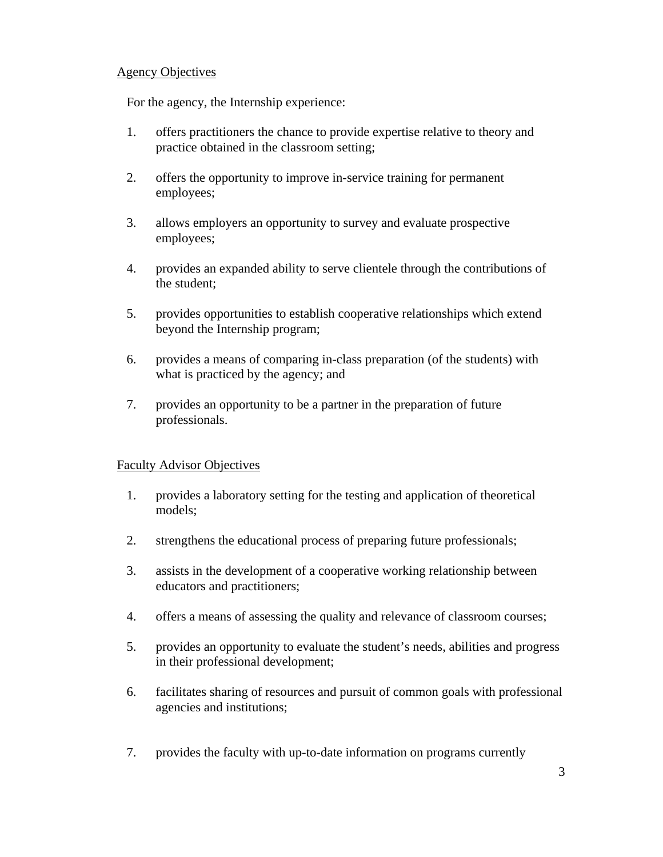### Agency Objectives

For the agency, the Internship experience:

- 1. offers practitioners the chance to provide expertise relative to theory and practice obtained in the classroom setting;
- 2. offers the opportunity to improve in-service training for permanent employees;
- 3. allows employers an opportunity to survey and evaluate prospective employees;
- 4. provides an expanded ability to serve clientele through the contributions of the student;
- 5. provides opportunities to establish cooperative relationships which extend beyond the Internship program;
- 6. provides a means of comparing in-class preparation (of the students) with what is practiced by the agency; and
- 7. provides an opportunity to be a partner in the preparation of future professionals.

### Faculty Advisor Objectives

- 1. provides a laboratory setting for the testing and application of theoretical models;
- 2. strengthens the educational process of preparing future professionals;
- 3. assists in the development of a cooperative working relationship between educators and practitioners;
- 4. offers a means of assessing the quality and relevance of classroom courses;
- 5. provides an opportunity to evaluate the student's needs, abilities and progress in their professional development;
- 6. facilitates sharing of resources and pursuit of common goals with professional agencies and institutions;
- 7. provides the faculty with up-to-date information on programs currently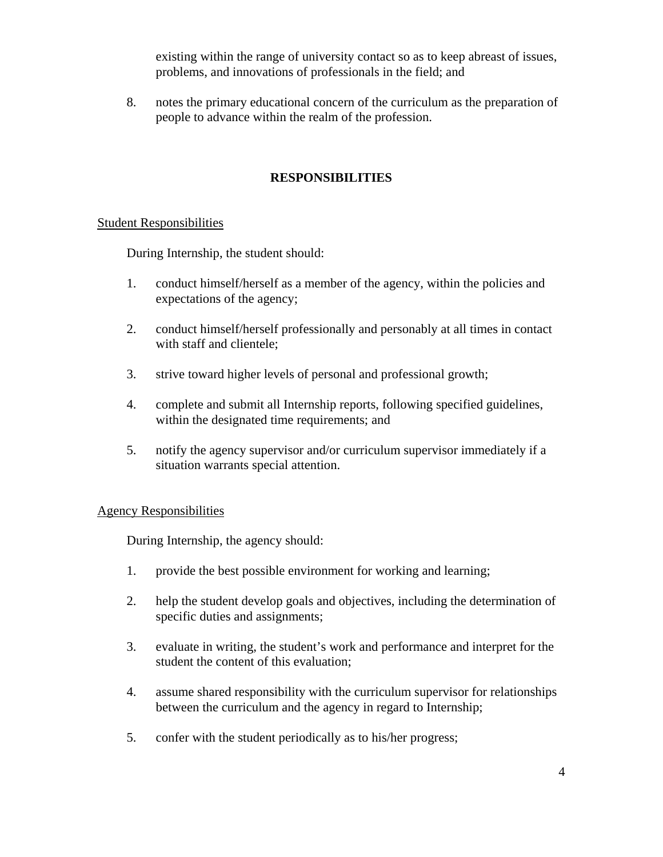existing within the range of university contact so as to keep abreast of issues, problems, and innovations of professionals in the field; and

8. notes the primary educational concern of the curriculum as the preparation of people to advance within the realm of the profession.

# **RESPONSIBILITIES**

## Student Responsibilities

During Internship, the student should:

- 1. conduct himself/herself as a member of the agency, within the policies and expectations of the agency;
- 2. conduct himself/herself professionally and personably at all times in contact with staff and clientele;
- 3. strive toward higher levels of personal and professional growth;
- 4. complete and submit all Internship reports, following specified guidelines, within the designated time requirements; and
- 5. notify the agency supervisor and/or curriculum supervisor immediately if a situation warrants special attention.

### Agency Responsibilities

During Internship, the agency should:

- 1. provide the best possible environment for working and learning;
- 2. help the student develop goals and objectives, including the determination of specific duties and assignments;
- 3. evaluate in writing, the student's work and performance and interpret for the student the content of this evaluation;
- 4. assume shared responsibility with the curriculum supervisor for relationships between the curriculum and the agency in regard to Internship;
- 5. confer with the student periodically as to his/her progress;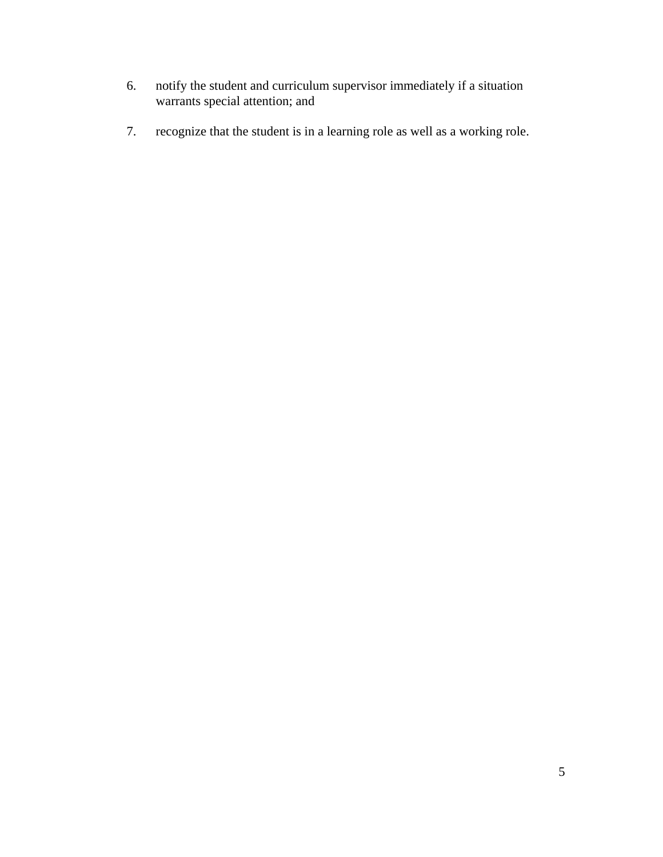- 6. notify the student and curriculum supervisor immediately if a situation warrants special attention; and
- 7. recognize that the student is in a learning role as well as a working role.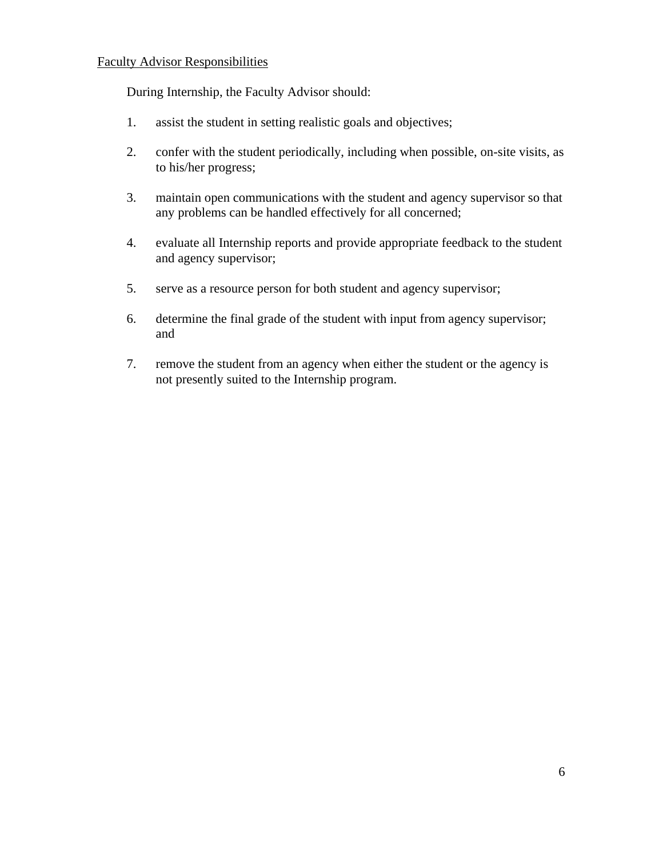### Faculty Advisor Responsibilities

During Internship, the Faculty Advisor should:

- 1. assist the student in setting realistic goals and objectives;
- 2. confer with the student periodically, including when possible, on-site visits, as to his/her progress;
- 3. maintain open communications with the student and agency supervisor so that any problems can be handled effectively for all concerned;
- 4. evaluate all Internship reports and provide appropriate feedback to the student and agency supervisor;
- 5. serve as a resource person for both student and agency supervisor;
- 6. determine the final grade of the student with input from agency supervisor; and
- 7. remove the student from an agency when either the student or the agency is not presently suited to the Internship program.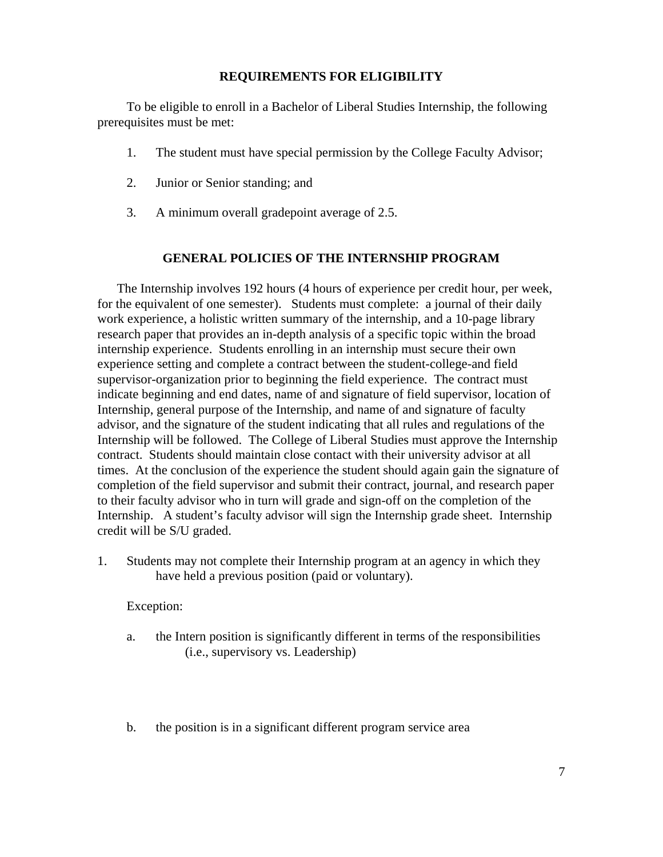## **REQUIREMENTS FOR ELIGIBILITY**

To be eligible to enroll in a Bachelor of Liberal Studies Internship, the following prerequisites must be met:

- 1. The student must have special permission by the College Faculty Advisor;
- 2. Junior or Senior standing; and
- 3. A minimum overall gradepoint average of 2.5.

## **GENERAL POLICIES OF THE INTERNSHIP PROGRAM**

The Internship involves 192 hours (4 hours of experience per credit hour, per week, for the equivalent of one semester). Students must complete: a journal of their daily work experience, a holistic written summary of the internship, and a 10-page library research paper that provides an in-depth analysis of a specific topic within the broad internship experience. Students enrolling in an internship must secure their own experience setting and complete a contract between the student-college-and field supervisor-organization prior to beginning the field experience. The contract must indicate beginning and end dates, name of and signature of field supervisor, location of Internship, general purpose of the Internship, and name of and signature of faculty advisor, and the signature of the student indicating that all rules and regulations of the Internship will be followed. The College of Liberal Studies must approve the Internship contract. Students should maintain close contact with their university advisor at all times. At the conclusion of the experience the student should again gain the signature of completion of the field supervisor and submit their contract, journal, and research paper to their faculty advisor who in turn will grade and sign-off on the completion of the Internship. A student's faculty advisor will sign the Internship grade sheet. Internship credit will be S/U graded.

1. Students may not complete their Internship program at an agency in which they have held a previous position (paid or voluntary).

### Exception:

- a. the Intern position is significantly different in terms of the responsibilities (i.e., supervisory vs. Leadership)
- b. the position is in a significant different program service area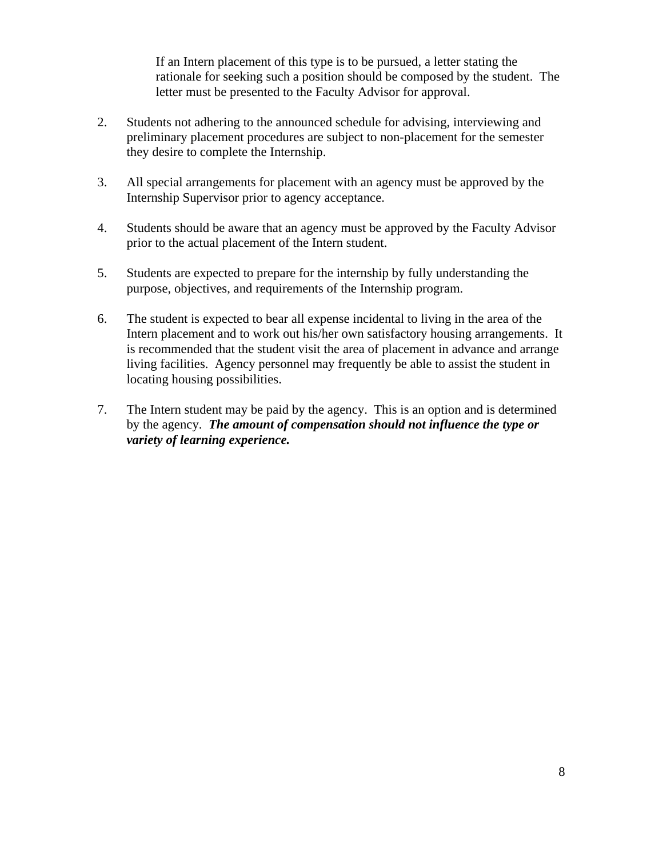If an Intern placement of this type is to be pursued, a letter stating the rationale for seeking such a position should be composed by the student. The letter must be presented to the Faculty Advisor for approval.

- 2. Students not adhering to the announced schedule for advising, interviewing and preliminary placement procedures are subject to non-placement for the semester they desire to complete the Internship.
- 3. All special arrangements for placement with an agency must be approved by the Internship Supervisor prior to agency acceptance.
- 4. Students should be aware that an agency must be approved by the Faculty Advisor prior to the actual placement of the Intern student.
- 5. Students are expected to prepare for the internship by fully understanding the purpose, objectives, and requirements of the Internship program.
- 6. The student is expected to bear all expense incidental to living in the area of the Intern placement and to work out his/her own satisfactory housing arrangements. It is recommended that the student visit the area of placement in advance and arrange living facilities. Agency personnel may frequently be able to assist the student in locating housing possibilities.
- 7. The Intern student may be paid by the agency. This is an option and is determined by the agency. *The amount of compensation should not influence the type or variety of learning experience.*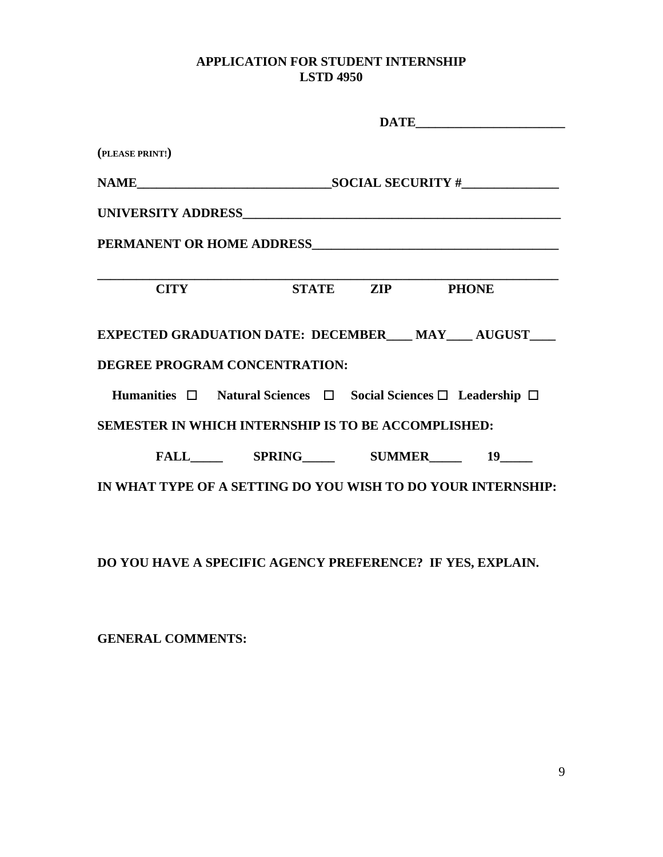# **APPLICATION FOR STUDENT INTERNSHIP LSTD 4950**

|                          | $\begin{tabular}{c} \bf{DATE} \end{tabular}$                   |  |                                                              |  |  |
|--------------------------|----------------------------------------------------------------|--|--------------------------------------------------------------|--|--|
| (PLEASE PRINT!)          |                                                                |  |                                                              |  |  |
|                          |                                                                |  |                                                              |  |  |
|                          |                                                                |  |                                                              |  |  |
|                          |                                                                |  |                                                              |  |  |
| <b>CITY</b>              | STATE ZIP PHONE                                                |  |                                                              |  |  |
|                          |                                                                |  | EXPECTED GRADUATION DATE: DECEMBER___ MAY___ AUGUST___       |  |  |
|                          | DEGREE PROGRAM CONCENTRATION:                                  |  |                                                              |  |  |
|                          | Humanities □ Natural Sciences □ Social Sciences □ Leadership □ |  |                                                              |  |  |
|                          | SEMESTER IN WHICH INTERNSHIP IS TO BE ACCOMPLISHED:            |  |                                                              |  |  |
|                          |                                                                |  |                                                              |  |  |
|                          |                                                                |  | IN WHAT TYPE OF A SETTING DO YOU WISH TO DO YOUR INTERNSHIP: |  |  |
|                          |                                                                |  |                                                              |  |  |
|                          | DO YOU HAVE A SPECIFIC AGENCY PREFERENCE? IF YES, EXPLAIN.     |  |                                                              |  |  |
| <b>GENERAL COMMENTS:</b> |                                                                |  |                                                              |  |  |

9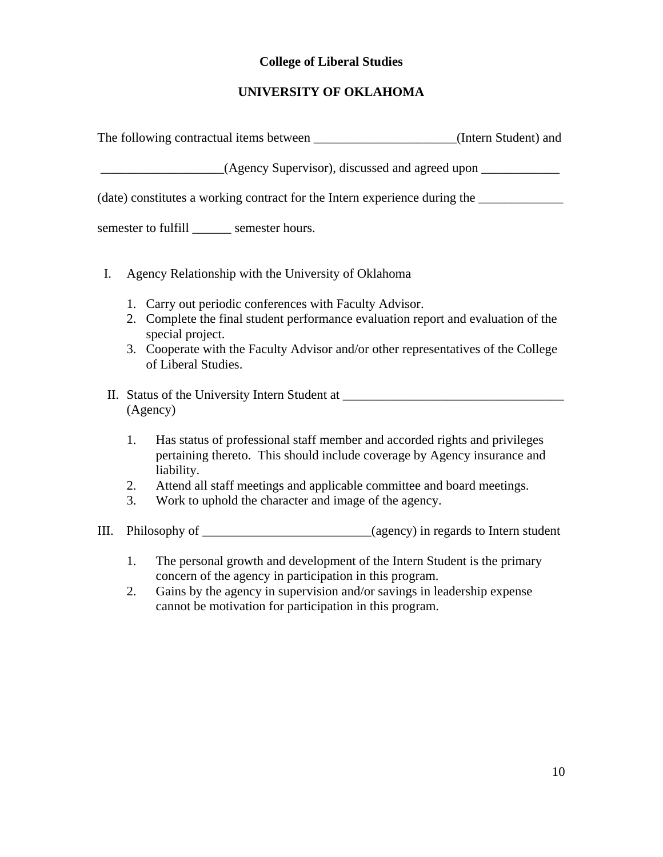# **College of Liberal Studies**

# **UNIVERSITY OF OKLAHOMA**

|    | The following contractual items between _________________________(Intern Student) and                                                                                                         |  |
|----|-----------------------------------------------------------------------------------------------------------------------------------------------------------------------------------------------|--|
|    |                                                                                                                                                                                               |  |
|    | (date) constitutes a working contract for the Intern experience during the ____________                                                                                                       |  |
|    | semester to fulfill _______ semester hours.                                                                                                                                                   |  |
| I. | Agency Relationship with the University of Oklahoma                                                                                                                                           |  |
|    | 1. Carry out periodic conferences with Faculty Advisor.                                                                                                                                       |  |
|    | 2. Complete the final student performance evaluation report and evaluation of the                                                                                                             |  |
|    | special project.<br>3. Cooperate with the Faculty Advisor and/or other representatives of the College<br>of Liberal Studies.                                                                  |  |
|    | II. Status of the University Intern Student at _________________________________<br>(Agency)                                                                                                  |  |
| 1. | Has status of professional staff member and accorded rights and privileges<br>pertaining thereto. This should include coverage by Agency insurance and<br>liability.                          |  |
| 2. | Attend all staff meetings and applicable committee and board meetings.                                                                                                                        |  |
| 3. | Work to uphold the character and image of the agency.                                                                                                                                         |  |
| Ш. |                                                                                                                                                                                               |  |
| 1. | The personal growth and development of the Intern Student is the primary                                                                                                                      |  |
| 2. | concern of the agency in participation in this program.<br>Gains by the agency in supervision and/or savings in leadership expense<br>cannot be motivation for participation in this program. |  |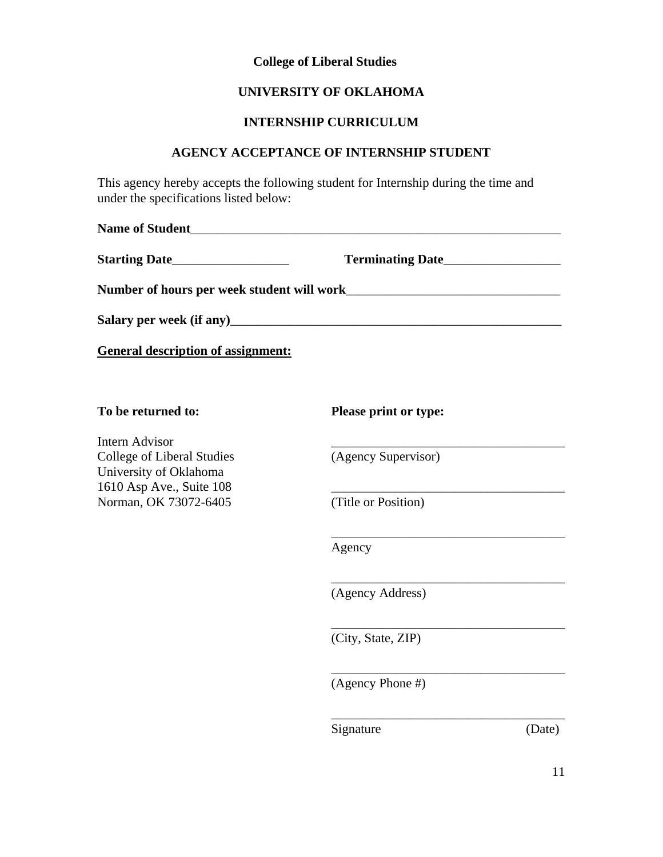### **College of Liberal Studies**

### **UNIVERSITY OF OKLAHOMA**

### **INTERNSHIP CURRICULUM**

### **AGENCY ACCEPTANCE OF INTERNSHIP STUDENT**

This agency hereby accepts the following student for Internship during the time and under the specifications listed below:

**Name of Student**\_\_\_\_\_\_\_\_\_\_\_\_\_\_\_\_\_\_\_\_\_\_\_\_\_\_\_\_\_\_\_\_\_\_\_\_\_\_\_\_\_\_\_\_\_\_\_\_\_\_\_\_\_\_\_\_\_

**Starting Date**\_\_\_\_\_\_\_\_\_\_\_\_\_\_\_\_\_\_ **Terminating Date**\_\_\_\_\_\_\_\_\_\_\_\_\_\_\_\_\_\_ **Number of hours per week student will work**\_\_\_\_\_\_\_\_\_\_\_\_\_\_\_\_\_\_\_\_\_\_\_\_\_\_\_\_\_\_\_\_\_ **Salary per week (if any)**\_\_\_\_\_\_\_\_\_\_\_\_\_\_\_\_\_\_\_\_\_\_\_\_\_\_\_\_\_\_\_\_\_\_\_\_\_\_\_\_\_\_\_\_\_\_\_\_\_\_\_

**General description of assignment:**

Intern Advisor College of Liberal Studies (Agency Supervisor) University of Oklahoma 1610 Asp Ave., Suite 108 Norman, OK 73072-6405 (Title or Position)

**To be returned to: Please print or type:** 

\_\_\_\_\_\_\_\_\_\_\_\_\_\_\_\_\_\_\_\_\_\_\_\_\_\_\_\_\_\_\_\_\_\_\_\_

\_\_\_\_\_\_\_\_\_\_\_\_\_\_\_\_\_\_\_\_\_\_\_\_\_\_\_\_\_\_\_\_\_\_\_\_

\_\_\_\_\_\_\_\_\_\_\_\_\_\_\_\_\_\_\_\_\_\_\_\_\_\_\_\_\_\_\_\_\_\_\_\_

\_\_\_\_\_\_\_\_\_\_\_\_\_\_\_\_\_\_\_\_\_\_\_\_\_\_\_\_\_\_\_\_\_\_\_\_

\_\_\_\_\_\_\_\_\_\_\_\_\_\_\_\_\_\_\_\_\_\_\_\_\_\_\_\_\_\_\_\_\_\_\_\_

Agency

(Agency Address)

(City, State, ZIP)

(Agency Phone #)

Signature (Date)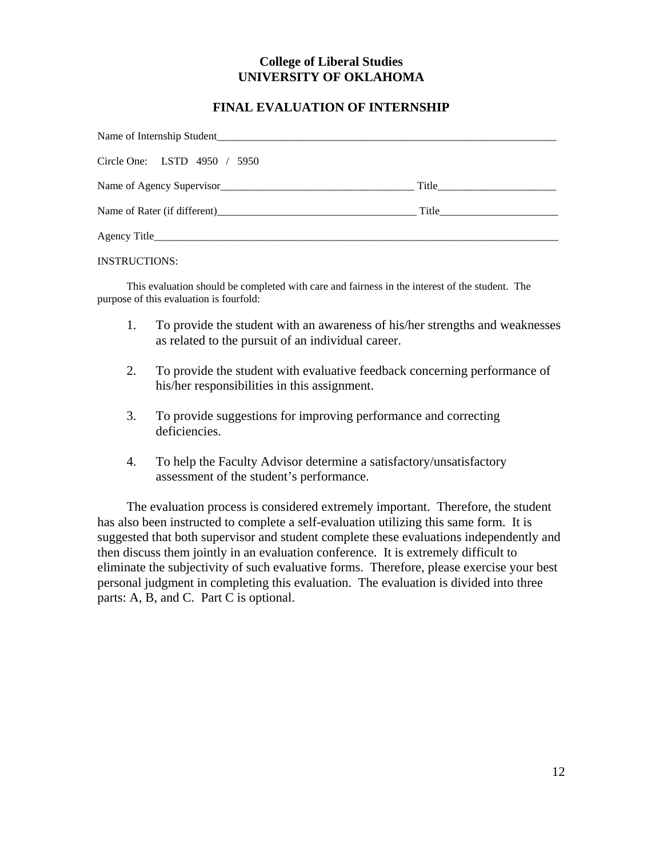## **College of Liberal Studies UNIVERSITY OF OKLAHOMA**

## **FINAL EVALUATION OF INTERNSHIP**

| Name of Internship Student   |       |  |  |  |
|------------------------------|-------|--|--|--|
| Circle One: LSTD 4950 / 5950 |       |  |  |  |
|                              |       |  |  |  |
|                              | Title |  |  |  |
|                              |       |  |  |  |

#### INSTRUCTIONS:

This evaluation should be completed with care and fairness in the interest of the student. The purpose of this evaluation is fourfold:

- 1. To provide the student with an awareness of his/her strengths and weaknesses as related to the pursuit of an individual career.
- 2. To provide the student with evaluative feedback concerning performance of his/her responsibilities in this assignment.
- 3. To provide suggestions for improving performance and correcting deficiencies.
- 4. To help the Faculty Advisor determine a satisfactory/unsatisfactory assessment of the student's performance.

The evaluation process is considered extremely important. Therefore, the student has also been instructed to complete a self-evaluation utilizing this same form. It is suggested that both supervisor and student complete these evaluations independently and then discuss them jointly in an evaluation conference. It is extremely difficult to eliminate the subjectivity of such evaluative forms. Therefore, please exercise your best personal judgment in completing this evaluation. The evaluation is divided into three parts: A, B, and C. Part C is optional.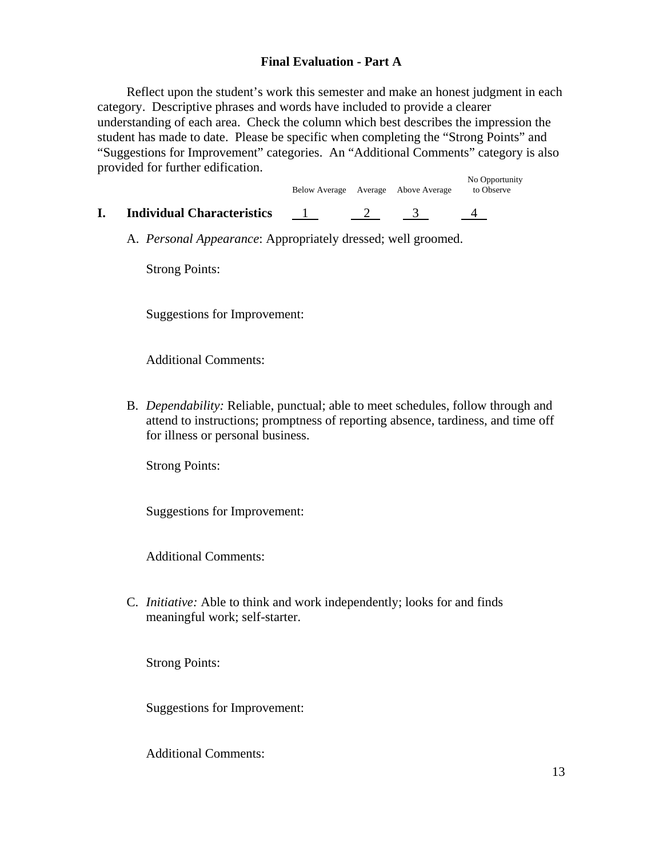## **Final Evaluation - Part A**

Reflect upon the student's work this semester and make an honest judgment in each category. Descriptive phrases and words have included to provide a clearer understanding of each area. Check the column which best describes the impression the student has made to date. Please be specific when completing the "Strong Points" and "Suggestions for Improvement" categories. An "Additional Comments" category is also provided for further edification.

|                                   |  | Below Average Average Above Average | No Opportunity<br>to Observe |
|-----------------------------------|--|-------------------------------------|------------------------------|
| <b>Individual Characteristics</b> |  |                                     |                              |

A. *Personal Appearance*: Appropriately dressed; well groomed.

Strong Points:

Suggestions for Improvement:

Additional Comments:

B. *Dependability:* Reliable, punctual; able to meet schedules, follow through and attend to instructions; promptness of reporting absence, tardiness, and time off for illness or personal business.

Strong Points:

Suggestions for Improvement:

Additional Comments:

C. *Initiative:* Able to think and work independently; looks for and finds meaningful work; self-starter.

Strong Points:

Suggestions for Improvement: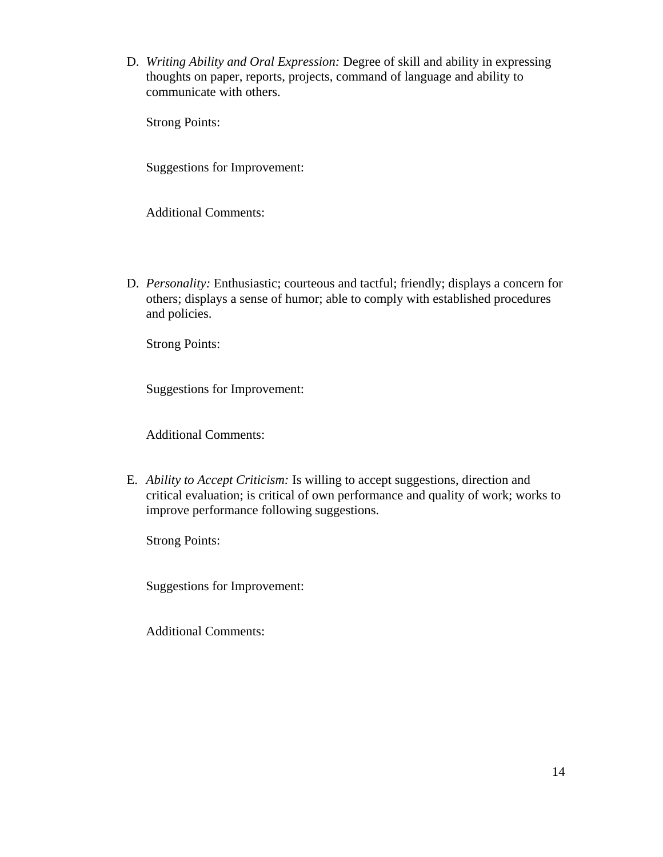D. *Writing Ability and Oral Expression:* Degree of skill and ability in expressing thoughts on paper, reports, projects, command of language and ability to communicate with others.

Strong Points:

Suggestions for Improvement:

Additional Comments:

D. *Personality:* Enthusiastic; courteous and tactful; friendly; displays a concern for others; displays a sense of humor; able to comply with established procedures and policies.

Strong Points:

Suggestions for Improvement:

Additional Comments:

E. *Ability to Accept Criticism:* Is willing to accept suggestions, direction and critical evaluation; is critical of own performance and quality of work; works to improve performance following suggestions.

Strong Points:

Suggestions for Improvement: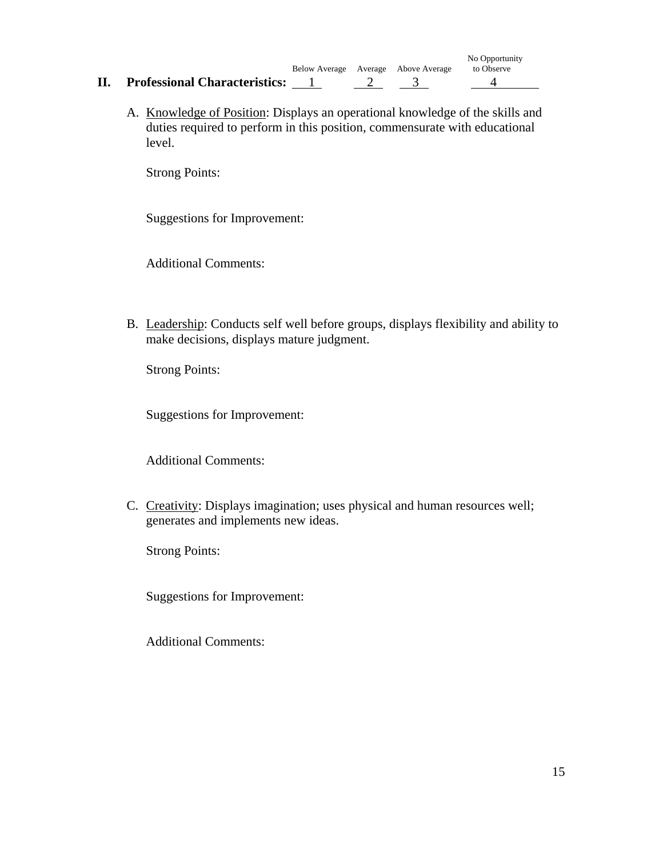- No Opportunity Below Average Average Above Average **II.** Professional Characteristics: 1 2 3 4
	- A. Knowledge of Position: Displays an operational knowledge of the skills and duties required to perform in this position, commensurate with educational level.

Strong Points:

Suggestions for Improvement:

Additional Comments:

B. Leadership: Conducts self well before groups, displays flexibility and ability to make decisions, displays mature judgment.

Strong Points:

Suggestions for Improvement:

Additional Comments:

C. Creativity: Displays imagination; uses physical and human resources well; generates and implements new ideas.

Strong Points:

Suggestions for Improvement: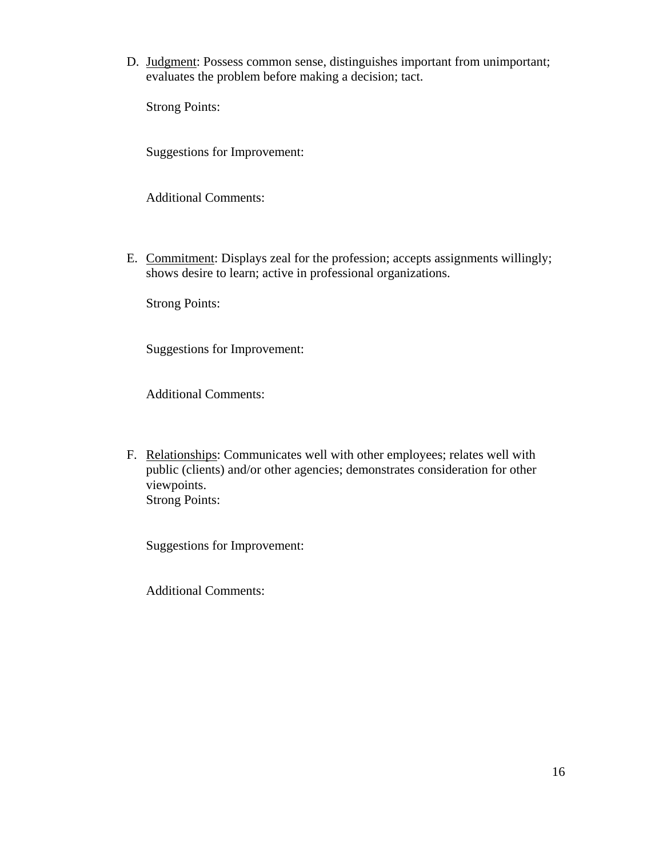D. Judgment: Possess common sense, distinguishes important from unimportant; evaluates the problem before making a decision; tact.

Strong Points:

Suggestions for Improvement:

Additional Comments:

E. Commitment: Displays zeal for the profession; accepts assignments willingly; shows desire to learn; active in professional organizations.

Strong Points:

Suggestions for Improvement:

Additional Comments:

F. Relationships: Communicates well with other employees; relates well with public (clients) and/or other agencies; demonstrates consideration for other viewpoints. Strong Points:

Suggestions for Improvement: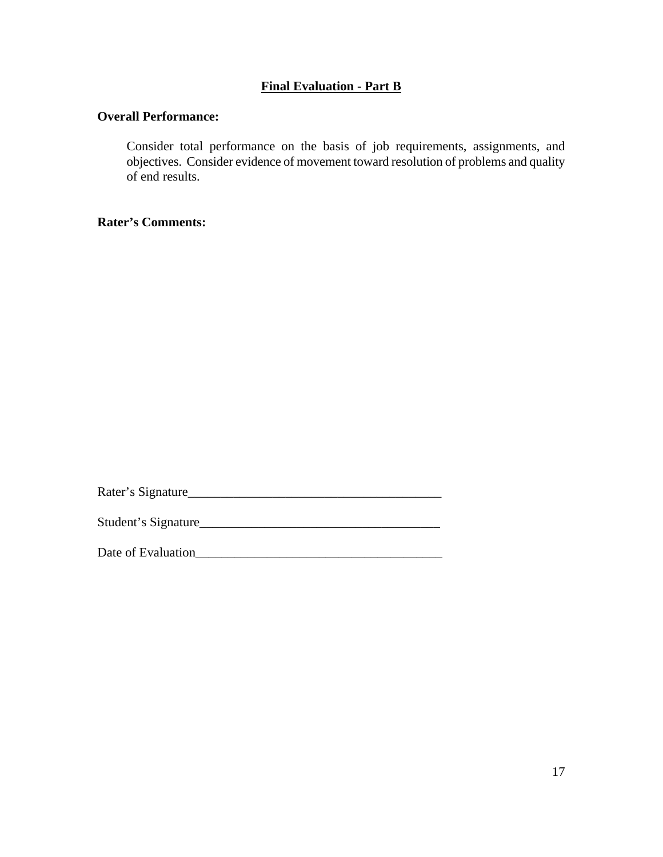## **Final Evaluation - Part B**

### **Overall Performance:**

Consider total performance on the basis of job requirements, assignments, and objectives. Consider evidence of movement toward resolution of problems and quality of end results.

**Rater's Comments:**

Rater's Signature\_\_\_\_\_\_\_\_\_\_\_\_\_\_\_\_\_\_\_\_\_\_\_\_\_\_\_\_\_\_\_\_\_\_\_\_\_\_\_

Student's Signature\_\_\_\_\_\_\_\_\_\_\_\_\_\_\_\_\_\_\_\_\_\_\_\_\_\_\_\_\_\_\_\_\_\_\_\_\_

Date of Evaluation\_\_\_\_\_\_\_\_\_\_\_\_\_\_\_\_\_\_\_\_\_\_\_\_\_\_\_\_\_\_\_\_\_\_\_\_\_\_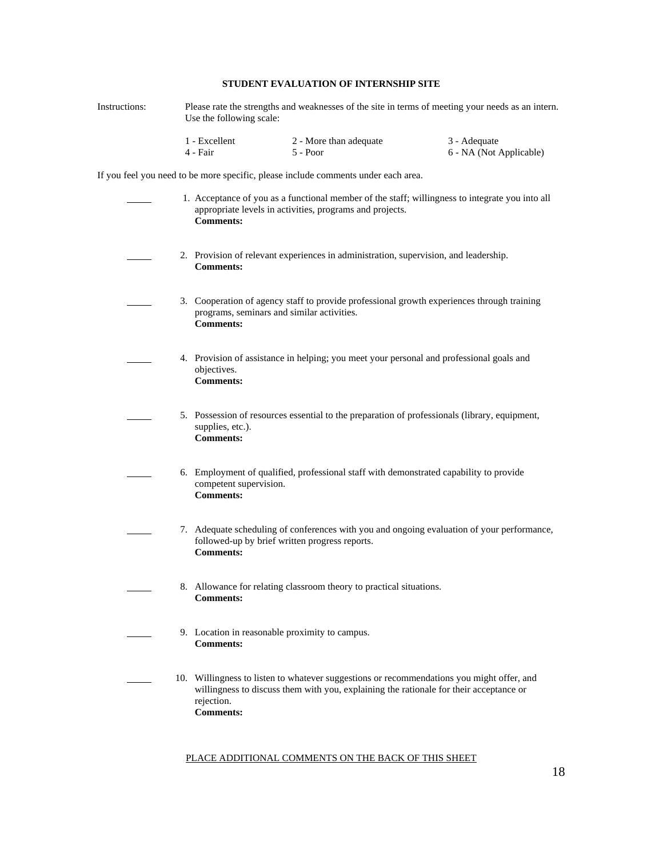### **STUDENT EVALUATION OF INTERNSHIP SITE**

Instructions: Please rate the strengths and weaknesses of the site in terms of meeting your needs as an intern. Use the following scale: 1 - Excellent 2 - More than adequate 3 - Adequate

4 - Fair 5 - Poor 5 - Poor 6 - NA (Not Applicable)

If you feel you need to be more specific, please include comments under each area.

| 1. Acceptance of you as a functional member of the staff; willingness to integrate you into all<br>appropriate levels in activities, programs and projects.<br><b>Comments:</b>                                       |
|-----------------------------------------------------------------------------------------------------------------------------------------------------------------------------------------------------------------------|
| 2. Provision of relevant experiences in administration, supervision, and leadership.<br><b>Comments:</b>                                                                                                              |
| 3. Cooperation of agency staff to provide professional growth experiences through training<br>programs, seminars and similar activities.<br><b>Comments:</b>                                                          |
| 4. Provision of assistance in helping; you meet your personal and professional goals and<br>objectives.<br><b>Comments:</b>                                                                                           |
| 5. Possession of resources essential to the preparation of professionals (library, equipment,<br>supplies, etc.).<br><b>Comments:</b>                                                                                 |
| 6. Employment of qualified, professional staff with demonstrated capability to provide<br>competent supervision.<br><b>Comments:</b>                                                                                  |
| 7. Adequate scheduling of conferences with you and ongoing evaluation of your performance,<br>followed-up by brief written progress reports.<br><b>Comments:</b>                                                      |
| 8. Allowance for relating classroom theory to practical situations.<br><b>Comments:</b>                                                                                                                               |
| 9. Location in reasonable proximity to campus.<br><b>Comments:</b>                                                                                                                                                    |
| 10. Willingness to listen to whatever suggestions or recommendations you might offer, and<br>willingness to discuss them with you, explaining the rationale for their acceptance or<br>rejection.<br><b>Comments:</b> |

#### PLACE ADDITIONAL COMMENTS ON THE BACK OF THIS SHEET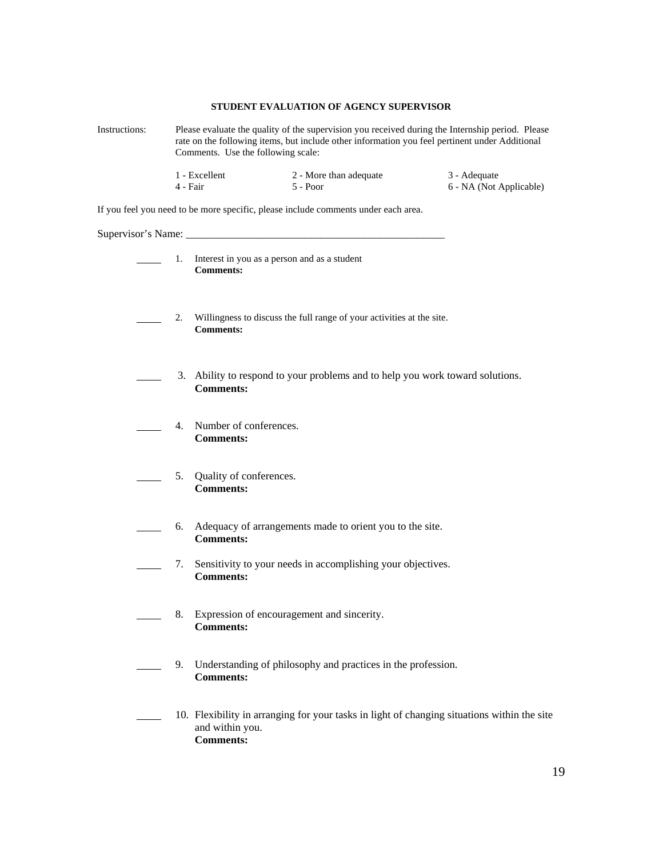### **STUDENT EVALUATION OF AGENCY SUPERVISOR**

| Instructions: | Please evaluate the quality of the supervision you received during the Internship period. Please<br>rate on the following items, but include other information you feel pertinent under Additional<br>Comments. Use the following scale: |                                                                     |                                                                                             |  |                                         |
|---------------|------------------------------------------------------------------------------------------------------------------------------------------------------------------------------------------------------------------------------------------|---------------------------------------------------------------------|---------------------------------------------------------------------------------------------|--|-----------------------------------------|
|               | 1 - Excellent<br>4 - Fair                                                                                                                                                                                                                |                                                                     | 2 - More than adequate<br>5 - Poor                                                          |  | 3 - Adequate<br>6 - NA (Not Applicable) |
|               |                                                                                                                                                                                                                                          |                                                                     | If you feel you need to be more specific, please include comments under each area.          |  |                                         |
|               |                                                                                                                                                                                                                                          |                                                                     |                                                                                             |  |                                         |
|               |                                                                                                                                                                                                                                          | 1. Interest in you as a person and as a student<br><b>Comments:</b> |                                                                                             |  |                                         |
|               | 2.                                                                                                                                                                                                                                       | <b>Comments:</b>                                                    | Willingness to discuss the full range of your activities at the site.                       |  |                                         |
|               |                                                                                                                                                                                                                                          | <b>Comments:</b>                                                    | 3. Ability to respond to your problems and to help you work toward solutions.               |  |                                         |
|               | 4.                                                                                                                                                                                                                                       | Number of conferences.<br><b>Comments:</b>                          |                                                                                             |  |                                         |
|               | 5.                                                                                                                                                                                                                                       | Quality of conferences.<br><b>Comments:</b>                         |                                                                                             |  |                                         |
|               | 6.                                                                                                                                                                                                                                       | <b>Comments:</b>                                                    | Adequacy of arrangements made to orient you to the site.                                    |  |                                         |
|               | 7.                                                                                                                                                                                                                                       | <b>Comments:</b>                                                    | Sensitivity to your needs in accomplishing your objectives.                                 |  |                                         |
|               | 8.                                                                                                                                                                                                                                       | <b>Comments:</b>                                                    | Expression of encouragement and sincerity.                                                  |  |                                         |
|               | 9.                                                                                                                                                                                                                                       | <b>Comments:</b>                                                    | Understanding of philosophy and practices in the profession.                                |  |                                         |
|               |                                                                                                                                                                                                                                          | and within you.<br><b>Comments:</b>                                 | 10. Flexibility in arranging for your tasks in light of changing situations within the site |  |                                         |